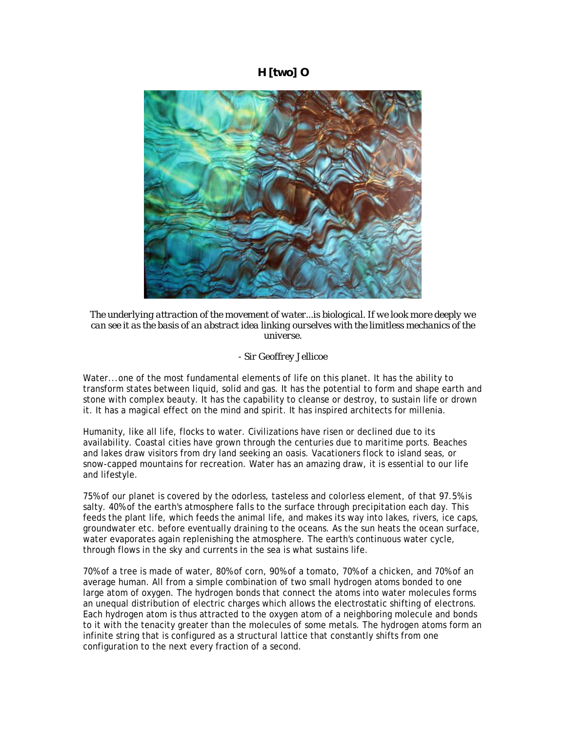## **H [two] O**



*The underlying attraction of the movement of water...is biological. If we look more deeply we can see it as the basis of an abstract idea linking ourselves with the limitless mechanics of the universe.*

## *- Sir Geoffrey Jellicoe*

Water...one of the most fundamental elements of life on this planet. It has the ability to transform states between liquid, solid and gas. It has the potential to form and shape earth and stone with complex beauty. It has the capability to cleanse or destroy, to sustain life or drown it. It has a magical effect on the mind and spirit. It has inspired architects for millenia.

Humanity, like all life, flocks to water. Civilizations have risen or declined due to its availability. Coastal cities have grown through the centuries due to maritime ports. Beaches and lakes draw visitors from dry land seeking an oasis. Vacationers flock to island seas, or snow-capped mountains for recreation. Water has an amazing draw, it is essential to our life and lifestyle.

75% of our planet is covered by the odorless, tasteless and colorless element, of that 97.5% is salty. 40% of the earth's atmosphere falls to the surface through precipitation each day. This feeds the plant life, which feeds the animal life, and makes its way into lakes, rivers, ice caps, groundwater etc. before eventually draining to the oceans. As the sun heats the ocean surface, water evaporates again replenishing the atmosphere. The earth's continuous water cycle, through flows in the sky and currents in the sea is what sustains life.

70% of a tree is made of water, 80% of corn, 90% of a tomato, 70% of a chicken, and 70% of an average human. All from a simple combination of two small hydrogen atoms bonded to one large atom of oxygen. The hydrogen bonds that connect the atoms into water molecules forms an unequal distribution of electric charges which allows the electrostatic shifting of electrons. Each hydrogen atom is thus attracted to the oxygen atom of a neighboring molecule and bonds to it with the tenacity greater than the molecules of some metals. The hydrogen atoms form an infinite string that is configured as a structural lattice that constantly shifts from one configuration to the next every fraction of a second.